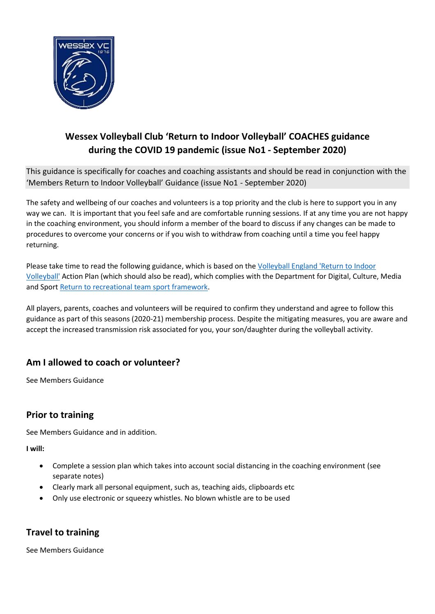

# **Wessex Volleyball Club 'Return to Indoor Volleyball' COACHES guidance during the COVID 19 pandemic (issue No1 - September 2020)**

This guidance is specifically for coaches and coaching assistants and should be read in conjunction with the 'Members Return to Indoor Volleyball' Guidance (issue No1 - September 2020)

The safety and wellbeing of our coaches and volunteers is a top priority and the club is here to support you in any way we can. It is important that you feel safe and are comfortable running sessions. If at any time you are not happy in the coaching environment, you should inform a member of the board to discuss if any changes can be made to procedures to overcome your concerns or if you wish to withdraw from coaching until a time you feel happy returning.

Please take time to read the following guidance, which is based on the [Volleyball England 'Return to Indoor](file:///C:/Users/davev/OneDrive/Documents/Dave%20Volleyball/Covid/Return%20to%20play%20indoor%20volleyball%20-%20sport%20specific%20action%20plan%20(1).pdf)  [Volleyball'](file:///C:/Users/davev/OneDrive/Documents/Dave%20Volleyball/Covid/Return%20to%20play%20indoor%20volleyball%20-%20sport%20specific%20action%20plan%20(1).pdf) Action Plan (which should also be read), which complies with the Department for Digital, Culture, Media and Sport [Return to recreational team sport framework.](https://www.gov.uk/government/publications/coronavirus-covid-19-guidance-on-phased-return-of-sport-and-recreation/return-to-recreational-team-sport-framework)

All players, parents, coaches and volunteers will be required to confirm they understand and agree to follow this guidance as part of this seasons (2020-21) membership process. Despite the mitigating measures, you are aware and accept the increased transmission risk associated for you, your son/daughter during the volleyball activity.

#### **Am I allowed to coach or volunteer?**

See Members Guidance

#### **Prior to training**

See Members Guidance and in addition.

**I will:**

- Complete a session plan which takes into account social distancing in the coaching environment (see separate notes)
- Clearly mark all personal equipment, such as, teaching aids, clipboards etc
- Only use electronic or squeezy whistles. No blown whistle are to be used

#### **Travel to training**

See Members Guidance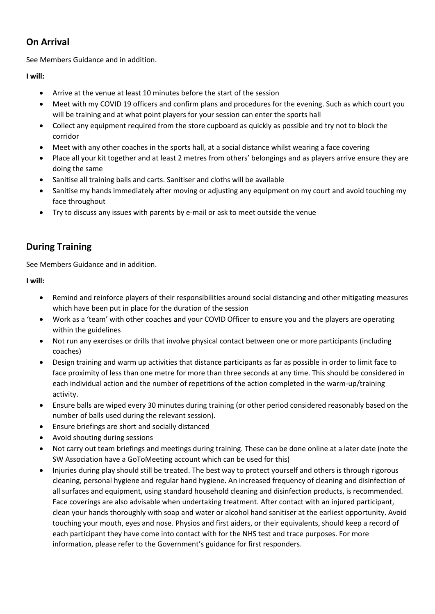#### **On Arrival**

See Members Guidance and in addition.

**I will:**

- Arrive at the venue at least 10 minutes before the start of the session
- Meet with my COVID 19 officers and confirm plans and procedures for the evening. Such as which court you will be training and at what point players for your session can enter the sports hall
- Collect any equipment required from the store cupboard as quickly as possible and try not to block the corridor
- Meet with any other coaches in the sports hall, at a social distance whilst wearing a face covering
- Place all your kit together and at least 2 metres from others' belongings and as players arrive ensure they are doing the same
- Sanitise all training balls and carts. Sanitiser and cloths will be available
- Sanitise my hands immediately after moving or adjusting any equipment on my court and avoid touching my face throughout
- Try to discuss any issues with parents by e-mail or ask to meet outside the venue

### **During Training**

See Members Guidance and in addition.

**I will:**

- Remind and reinforce players of their responsibilities around social distancing and other mitigating measures which have been put in place for the duration of the session
- Work as a 'team' with other coaches and your COVID Officer to ensure you and the players are operating within the guidelines
- Not run any exercises or drills that involve physical contact between one or more participants (including coaches)
- Design training and warm up activities that distance participants as far as possible in order to limit face to face proximity of less than one metre for more than three seconds at any time. This should be considered in each individual action and the number of repetitions of the action completed in the warm-up/training activity.
- Ensure balls are wiped every 30 minutes during training (or other period considered reasonably based on the number of balls used during the relevant session).
- Ensure briefings are short and socially distanced
- Avoid shouting during sessions
- Not carry out team briefings and meetings during training. These can be done online at a later date (note the SW Association have a GoToMeeting account which can be used for this)
- Injuries during play should still be treated. The best way to protect yourself and others is through rigorous cleaning, personal hygiene and regular hand hygiene. An increased frequency of cleaning and disinfection of all surfaces and equipment, using standard household cleaning and disinfection products, is recommended. Face coverings are also advisable when undertaking treatment. After contact with an injured participant, clean your hands thoroughly with soap and water or alcohol hand sanitiser at the earliest opportunity. Avoid touching your mouth, eyes and nose. Physios and first aiders, or their equivalents, should keep a record of each participant they have come into contact with for the NHS test and trace purposes. For more information, please refer to the Government's guidance for first responders.